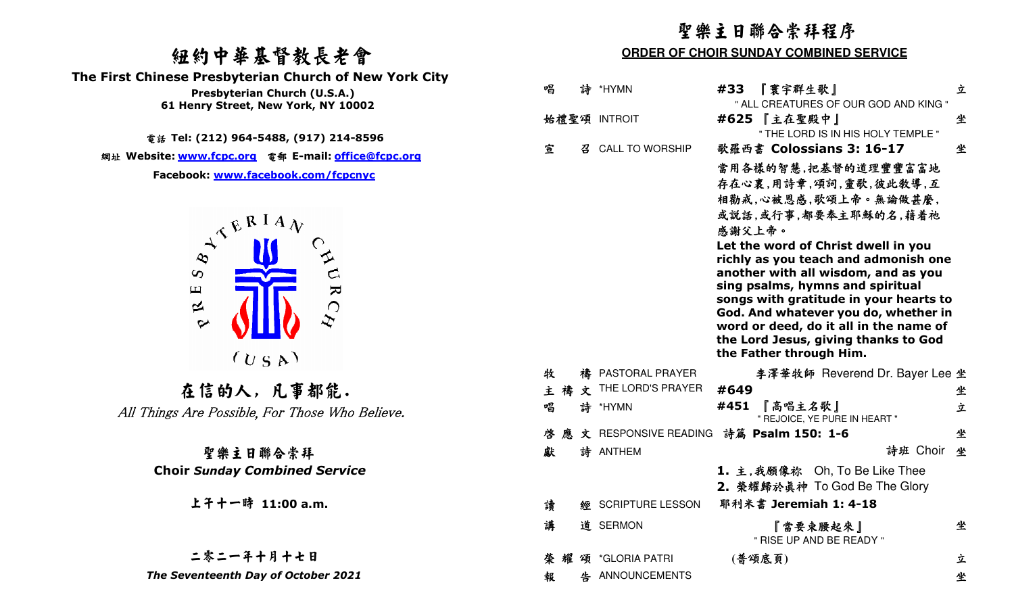# 紐約中華基督教長老會

 **The First Chinese Presbyterian Church of New York City** 



# 二零二一年十月十七日

|                                                                             | 聖樂主日聯合崇拜程序                                    |                                                                                                                                                                                                                                 |   |  |
|-----------------------------------------------------------------------------|-----------------------------------------------|---------------------------------------------------------------------------------------------------------------------------------------------------------------------------------------------------------------------------------|---|--|
| 纽约中華基督教長老會                                                                  | <b>ORDER OF CHOIR SUNDAY COMBINED SERVICE</b> |                                                                                                                                                                                                                                 |   |  |
| First Chinese Presbyterian Church of New York City                          |                                               |                                                                                                                                                                                                                                 |   |  |
| Presbyterian Church (U.S.A.)<br>61 Henry Street, New York, NY 10002         | 唱<br>詩<br>*HYMN<br>#33                        | 『寰宇群生歌』<br>" ALL CREATURES OF OUR GOD AND KING "                                                                                                                                                                                | 立 |  |
|                                                                             | 始禮聖頌 INTROIT                                  | #625 【主在聖殿中】                                                                                                                                                                                                                    | 坐 |  |
| 電話 Tel: (212) 964-5488, (917) 214-8596                                      |                                               | " THE LORD IS IN HIS HOLY TEMPLE "                                                                                                                                                                                              |   |  |
| 網址 Website: www.fcpc.org 電郵 E-mail: <u>office@fcpc.org</u>                  | 宣<br><b>CALL TO WORSHIP</b><br>召              | 歌羅西書 Colossians 3: 16-17                                                                                                                                                                                                        | 坐 |  |
| Facebook: www.facebook.com/fcpcnyc                                          |                                               | 當用各樣的智慧,把基督的道理豐豐富富地<br>存在心裏,用詩章,頌詞,靈歌,彼此敎導,互<br>相勸戒,心被恩感,歌頌上帝。無論做甚麼,<br>或説話,或行事,都要奉主耶穌的名,藉着祂<br>感謝父上帝。                                                                                                                          |   |  |
| $A^{\mathcal{R}^{\mathbf{R}^{\mathbf{I}}\mathbf{A}}\mathbf{V}}$<br>$\infty$ |                                               | Let the word of Christ dwell in you<br>richly as you teach and admonish one<br>another with all wisdom, and as you                                                                                                              |   |  |
| URC<br>$\mathbf \mu$<br>$\approx$<br>$\sim$                                 |                                               | sing psalms, hymns and spiritual<br>songs with gratitude in your hearts to<br>God. And whatever you do, whether in<br>word or deed, do it all in the name of<br>the Lord Jesus, giving thanks to God<br>the Father through Him. |   |  |
| (U S A)                                                                     | 牧<br>禱 PASTORAL PRAYER                        | 李澤華牧師 Reverend Dr. Bayer Lee 坐                                                                                                                                                                                                  |   |  |
| 在信的人,凡事都能.                                                                  | THE LORD'S PRAYER<br>#649<br>主禱<br>文          |                                                                                                                                                                                                                                 | 坐 |  |
| All Things Are Possible, For Those Who Believe.                             | #451<br>唱<br>詩<br>*HYMN                       | 『高唱主名歌』<br>" REJOICE, YE PURE IN HEART "                                                                                                                                                                                        | 立 |  |
|                                                                             | 啓<br>文 RESPONSIVE READING<br>應                | 詩篇 Psalm 150: 1-6                                                                                                                                                                                                               | 坐 |  |
| 聖樂主日聯合崇拜                                                                    | 獻<br>詩 ANTHEM                                 | 詩班 Choir                                                                                                                                                                                                                        | 坐 |  |
| <b>Choir Sunday Combined Service</b>                                        |                                               | 1. 主,我願像祢 Oh, To Be Like Thee<br>2. 榮耀歸於真神 To God Be The Glory                                                                                                                                                                  |   |  |
| 上午十一時 11:00 a.m.                                                            | 讀<br>經 SCRIPTURE LESSON                       | 耶利米書 Jeremiah 1: 4-18                                                                                                                                                                                                           |   |  |
|                                                                             | 講<br>道 SERMON                                 | 『當要束腰起來』<br>" RISE UP AND BE READY "                                                                                                                                                                                            | 坐 |  |
| 二零二一年十月十七日                                                                  | 榮 耀<br>頌 *GLORIA PATRI                        | (普頌底頁)                                                                                                                                                                                                                          | 立 |  |
| The Seventeenth Day of October 2021                                         | 告 ANNOUNCEMENTS<br>報                          |                                                                                                                                                                                                                                 | 坐 |  |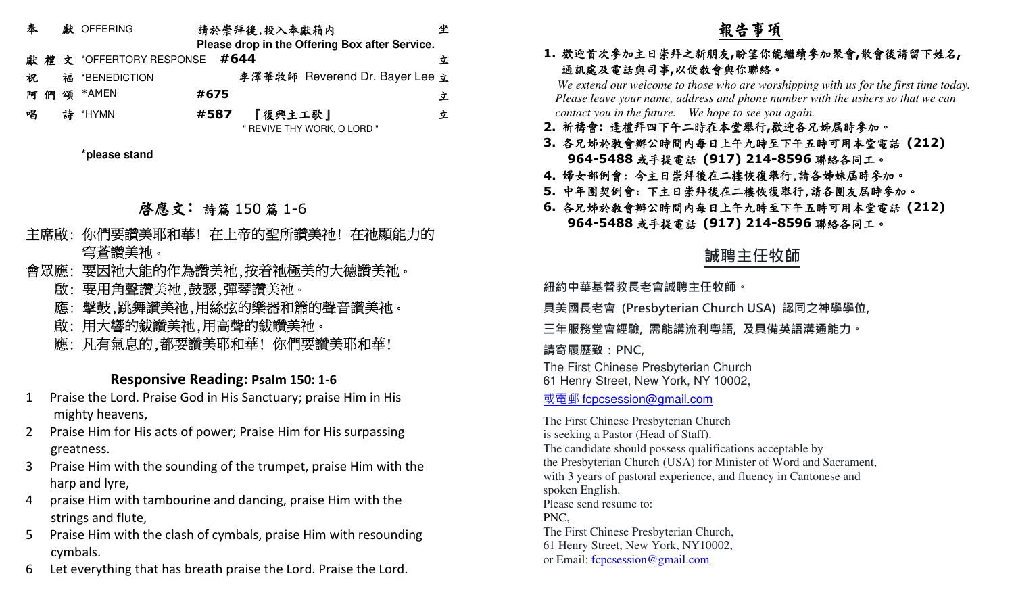| 奉   |  | 獻 OFFERING                   |      | 請於崇拜後,投入奉獻箱内 |                                                | 坐 |
|-----|--|------------------------------|------|--------------|------------------------------------------------|---|
|     |  |                              |      |              | Please drop in the Offering Box after Service. |   |
|     |  | 獻禮文 *OFFERTORY RESPONSE #644 |      |              |                                                | 立 |
| 祝   |  | 福 *BENEDICTION               |      |              | 李澤華牧師 Reverend Dr. Bayer Lee 立                 |   |
| 阿 們 |  | 頌 *AMEN                      | #675 |              |                                                | 立 |
| 唱   |  | 詩 *HYMN                      | #587 | 『復興主工歌』      |                                                | 立 |
|     |  |                              |      |              | " REVIVE THY WORK, O LORD "                    |   |

**\*please stand**

# **啓應文:** 詩篇 150 篇 1-6<br>-

- 主席啟: 你們要讚美耶和華! 在上帝的聖所讚美祂! 在祂顯能力的 穹蒼讚美祂。
- 會眾應: 要因祂大能的作為讚美祂,按着祂極美的大德讚美祂。
	- 啟: 要用角聲讚美祂,鼓瑟,彈琴讚美祂。
	- 應: 擊鼓,跳舞讚美祂,用絲弦的樂器和簫的聲音讚美祂。
	- 啟: 用大響的鈸讚美祂,用高聲的鈸讚美祂。
	- 應: 凡有氣息的,都要讚美耶和華! 你們要讚美耶和華!

### **Responsive Reading: Psalm 150: 1-6**

- 1 Praise the Lord. Praise God in His Sanctuary; praise Him in His mighty heavens,
- 2 Praise Him for His acts of power; Praise Him for His surpassing greatness.
- 3 Praise Him with the sounding of the trumpet, praise Him with the harp and lyre,
- 4 praise Him with tambourine and dancing, praise Him with the strings and flute,
- 5 Praise Him with the clash of cymbals, praise Him with resounding cymbals.
- 6 Let everything that has breath praise the Lord. Praise the Lord.

### **1.**歡迎首次參加主日崇拜之新朋友**,**盼望你能繼續參加聚會**,**散會後請留下姓名**,** 通訊處及電話與司事**,**<sup>以</sup>便教會與你聯絡。

 *We extend our welcome to those who are worshipping with us for the first time today. Please leave your name, address and phone number with the ushers so that we can contact you in the future. We hope to see you again.*

- **2.** 祈禱會**:** 逢禮拜四下午二時在本堂舉行**,**歡迎各兄姊屆時參加。
- **3.** 各兄姊於教會辦公時間內每日上午九時至下午五時可用本堂電話 **(212) 964-5488**或手提電話 **(917) 214-8596**聯絡各同工。
- **4.** 婦女部例會: 今主日崇拜後在二樓恢復舉行,請各姊妹屆時參加。
- **5.** 中年團契例會: 下主日崇拜後在二樓恢復舉行,請各團友屆時參加。
- **6.** 各兄姊於教會辦公時間內每日上午九時至下午五時可用本堂電話 **(212) 964-5488**或手提電話 **(917) 214-8596**聯絡各同工。

# **誠聘主任牧師**

**紐約中華基督教⻑老會誠聘主任牧師。** 

**具美國⻑老會 (Presbyterian Church USA) 認同之神學學位,** 

**三年服務堂會經驗, 需能講流利粵語, 及具備英語溝通能力。** 

## **請寄履歷致:PNC,**

The First Chinese Presbyterian Church61 Henry Street, New York, NY 10002,

或電郵 fcpcsession@gmail.com

The First Chinese Presbyterian Churchis seeking a Pastor (Head of Staff). The candidate should possess qualifications acceptable by the Presbyterian Church (USA) for Minister of Word and Sacrament, with 3 years of pastoral experience, and fluency in Cantonese and spoken English.Please send resume to: PNC, The First Chinese Presbyterian Church, 61 Henry Street, New York, NY10002,or Email: fcpcsession@gmail.com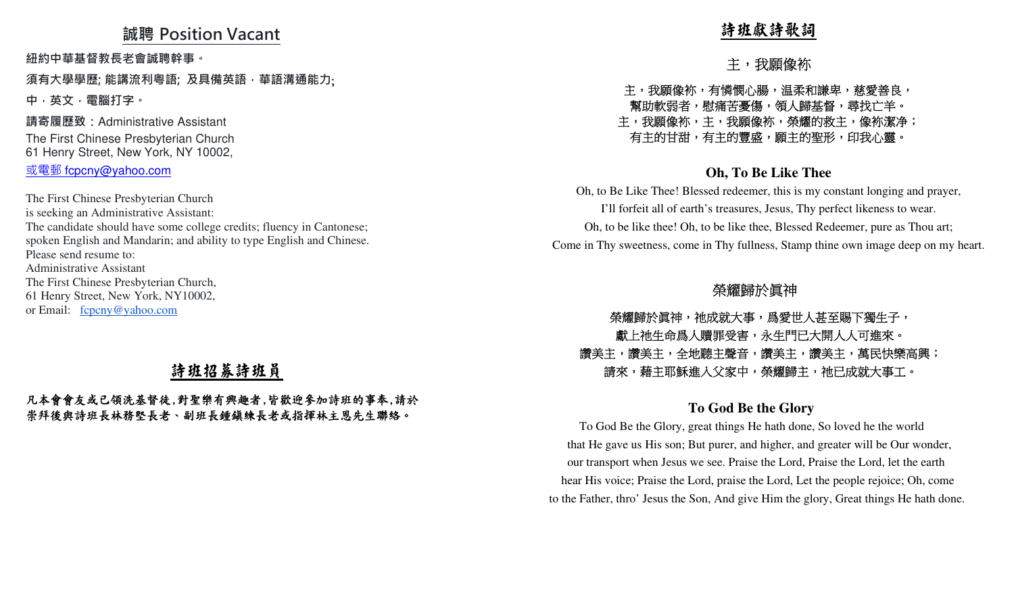### **誠聘 Position Vacant**

**紐約中華基督教⻑老會誠聘幹事。** 

**須有大學學歷; 能講流利粵語; 及具備英語,華語溝通能力**; **中,英文,電腦打字。**

**請寄履歷致:**Administrative AssistantThe First Chinese Presbyterian Church 61 Henry Street, New York, NY 10002,<u>或電郵 fcpcny@yahoo.com</u>

The First Chinese Presbyterian Church is seeking an Administrative Assistant: The candidate should have some college credits; fluency in Cantonese; spoken English and Mandarin; and ability to type English and Chinese.Please send resume to: Administrative Assistant The First Chinese Presbyterian Church, 61 Henry Street, New York, NY10002,or Email: fcpcny@yahoo.com凡本會會友或已領洗基督徒,對聖樂有興趣者,皆歡迎參加詩班的事奉,請於 崇拜後與詩班長林務堅長老、副班長鍾鎮練長老或指揮林主恩先生聯絡。 詩班獻詩歌詞 主,我願像袮 主,我願像袮,有憐憫心腸,温柔和謙卑,慈愛善良, 幫助軟弱者,慰痛苦憂傷,領人歸基督,尋找亡羊。 主,我願像袮,主,我願像袮,榮耀的救主,像袮潔净; 有主的甘甜,有主的豐盛,願主的聖形,印我心靈。 **Oh, To Be Like Thee** Oh, to Be Like Thee! Blessed redeemer, this is my constant longing and prayer, I'll forfeit all of earth's treasures, Jesus, Thy perfect likeness to wear. Oh, to be like thee! Oh, to be like thee, Blessed Redeemer, pure as Thou art; Come in Thy sweetness, come in Thy fullness, Stamp thine own image deep on my heart. 榮耀歸於眞神 榮耀歸於眞神,祂成就大事,爲愛世人甚至賜下獨生子, 獻上祂生命爲人贖罪受害,永生門已大開人人可進來。 讚美主,讚美主,全地聽主聲音,讚美主,讚美主,萬民快樂高興; 請來,藉主耶穌進入父家中,榮耀歸主,祂已成就大事工。 **To God Be the Glory** 

## 詩班招募詩班員

# 凡本會會友或已領洗基督徒,對聖樂有興趣者,皆歡迎參加詩班的事奉,請於

 To God Be the Glory, great things He hath done, So loved he the world that He gave us His son; But purer, and higher, and greater will be Our wonder, our transport when Jesus we see. Praise the Lord, Praise the Lord, let the earth hear His voice; Praise the Lord, praise the Lord, Let the people rejoice; Oh, come to the Father, thro' Jesus the Son, And give Him the glory, Great things He hath done.